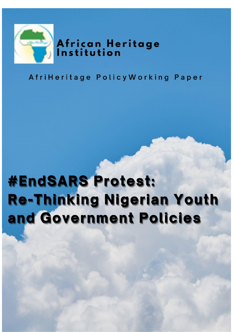

# African Heritage<br>Institution

## AfriHeritage Policy Working Paper

## **#EndSARS Protest:** Re-Thinking Nigerian Youth and Government Policies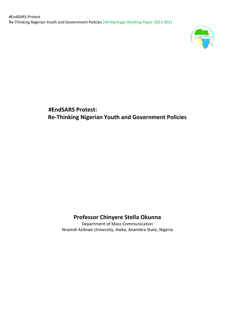

 **#EndSARS Protest: Re-Thinking Nigerian Youth and Government Policies**

## **Professor Chinyere Stella Okunna**

Department of Mass Communication Nnamdi Azikiwe University, Awka, Anambra State, Nigeria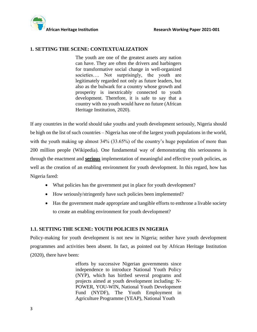



#### **1. SETTING THE SCENE: CONTEXTUALIZATION**

The youth are one of the greatest assets any nation can have. They are often the drivers and harbingers for transformative social change in well-organized societies.... Not surprisingly, the youth are legitimately regarded not only as future leaders, but also as the bulwark for a country whose growth and prosperity is inextricably connected to youth development. Therefore, it is safe to say that a country with no youth would have no future (African Heritage Institution, 2020).

If any countries in the world should take youths and youth development seriously, Nigeria should be high on the list of such countries – Nigeria has one of the largest youth populations in the world, with the youth making up almost 34% (33.65%) of the country's huge population of more than 200 million people (Wikipedia). One fundamental way of demonstrating this seriousness is through the enactment and **serious** implementation of meaningful and effective youth policies, as well as the creation of an enabling environment for youth development. In this regard, how has Nigeria fared:

- What policies has the government put in place for youth development?
- How seriously/stringently have such policies been implemented?
- Has the government made appropriate and tangible efforts to enthrone a livable society to create an enabling environment for youth development?

#### **1.1. SETTING THE SCENE: YOUTH POLICIES IN NIGERIA**

Policy-making for youth development is not new in Nigeria; neither have youth development programmes and activities been absent. In fact, as pointed out by African Heritage Institution (2020), there have been:

> efforts by successive Nigerian governments since independence to introduce National Youth Policy (NYP), which has birthed several programs and projects aimed at youth development including: N-POWER, YOU-WIN, National Youth Development Fund (NYDF), The Youth Employment in Agriculture Programme (YEAP), National Youth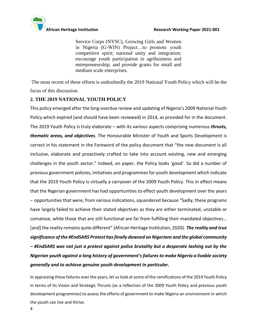

Service Corps (NYSC), Growing Girls and Women in Nigeria (G-WIN) Project…to promote youth competitive spirit; national unity and integration; encourage youth participation in agribusiness and entrepreneurship; and provide grants for small and medium scale enterprises.

The most recent of these efforts is undoubtedly the 2019 National Youth Policy which will be the focus of this discussion.

### **2. THE 2019 NATIONAL YOUTH POLICY**

This policy emerged after the long overdue review and updating of Nigeria's 2009 National Youth Policy which expired (and should have been reviewed) in 2014, as provided for in the document. The 2019 Youth Policy is truly elaborate – with its various aspects comprising numerous *thrusts, thematic areas, and objectives*. The Honourable Minister of Youth and Sports Development is correct in his statement in the Foreword of the policy document that "the new document is all inclusive, elaborate and proactively crafted to take into account existing, new and emerging challenges in the youth sector." Indeed, on paper, the Policy looks 'good'. So did a number of previous government policies, initiatives and programmes for youth development which indicate that the 2019 Youth Policy is virtually a carryover of the 2009 Youth Policy. This in effect means that the Nigerian government has had opportunities to effect youth development over the years – opportunities that were, from various indications, squandered because "Sadly, these programs have largely failed to achieve their stated objectives as they are either terminated, unstable or comatose, while those that are still functional are far from fulfilling their mandated objectives… [and] the reality remains quite different" (African Heritage Institution, 2020). *The reality and true significance of the #EndSARS Protest has finally dawned on Nigerians and the global community – #EndSARS was not just a protest against police brutality but a desperate lashing out by the Nigerian youth against a long history of government's failures to make Nigeria a livable society generally and to achieve genuine youth development in particular.*

In appraising these failures over the years, let us look at some of the ramifications of the 2019 Youth Policy in terms of its Vision and Strategic Thrusts (as a reflection of the 2009 Youth Policy and previous youth development programmes) to assess the efforts of government to make Nigeria an environment in which the youth can live and thrive.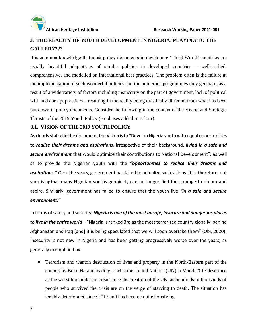

## **3. THE REALITY OF YOUTH DEVELOPMENT IN NIGERIA: PLAYING TO THE GALLERY???**

It is common knowledge that most policy documents in developing 'Third World' countries are usually beautiful adaptations of similar policies in developed countries – well-crafted, comprehensive, and modelled on international best practices. The problem often is the failure at the implementation of such wonderful policies and the numerous programmes they generate, as a result of a wide variety of factors including insincerity on the part of government, lack of political will, and corrupt practices – resulting in the reality being drastically different from what has been put down in policy documents. Consider the following in the context of the Vision and Strategic Thrusts of the 2019 Youth Policy (emphases added in colour):

#### **3.1. VISION OF THE 2019 YOUTH POLICY**

As clearly stated in the document, the Vision is to "Develop Nigeria youth with equal opportunities to *realise their dreams and aspirations*, irrespective of their background, *living in a safe and secure environment* that would optimize their contributions to National Development", as well as to provide the Nigerian youth with the *"opportunities to realise their dreams and aspirations."* Over the years, government has failed to actualize such visions. It is, therefore, not surprisingthat many Nigerian youths genuinely can no longer find the courage to dream and aspire. Similarly, government has failed to ensure that the youth live *"in a safe and secure environment."*

In terms ofsafety and security, *Nigeria is one of the most unsafe, insecure and dangerous places to live in the entire world* – "Nigeria is ranked 3rd as the most terrorized country globally, behind Afghanistan and Iraq [and] it is being speculated that we will soon overtake them" (Obi, 2020). Insecurity is not new in Nigeria and has been getting progressively worse over the years, as generally exemplified by:

**•** Terrorism and wanton destruction of lives and property in the North-Eastern part of the country by Boko Haram, leading to what the United Nations (UN) in March 2017 described as the worst humanitarian crisis since the creation of the UN, as hundreds of thousands of people who survived the crisis are on the verge of starving to death. The situation has terribly deteriorated since 2017 and has become quite horrifying.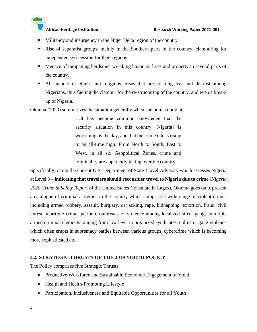- Militancy and insurgency in the Niger Delta region of the country
- Rise of separatist groups, mainly in the Southern parts of the country, clamouring for independence/secession for their regions
- **Menace of rampaging herdsmen wreaking havoc on lives and property in several parts of** the country.
- All manner of ethnic and religious crises that are creating fear and distrust among Nigerians, thus fueling the clamour for the re-structuring of the country, and even a breakup of Nigeria.

Okunna (2020) summarizes the situation generally when she points out that:

…it has become common knowledge that the security situation in this country [Nigeria] is worsening by the day, and that the crime rate is rising to an all-time high. From North to South, East to West, in all six Geopolitical Zones, crime and criminality are apparently taking over the country.

Specifically, citing the current U.S. Department of State Travel Advisory which assesses Nigeria at Level 3 – **indicating that travelers should reconsider travel to Nigeria due to crime** (*Nigeria 2020 Crime & Safety Report* of the United States Consulate in Lagos), Okunna goes on to present a catalogue of criminal activities in the country which comprise a wide range of violent crimes including armed robbery, assault, burglary, carjacking, rape, kidnapping, extortion, fraud, civil unrest, maritime crime, periodic outbreaks of violence among localized street gangs, multiple armed criminal elements ranging from low level to organized syndicates, cultist or gang violence which often erupts in supremacy battles between various groups, cybercrime which is becoming more sophisticated etc.

#### **3.2. STRATEGIC THRUSTS OF THE 2019 YOUTH POLICY**

The Policy comprises five Strategic Thrusts:

- Productive Workforce and Sustainable Economic Engagement of Youth
- Health and Health-Promoting Lifestyle
- Participation, Inclusiveness and Equitable Opportunities for all Youth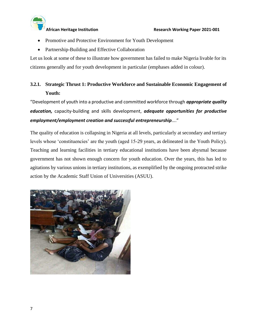

- Promotive and Protective Environment for Youth Development
- Partnership-Building and Effective Collaboration

Let us look at some of these to illustrate how government has failed to make Nigeria livable for its citizens generally and for youth development in particular (emphases added in colour).

## **3.2.1. Strategic Thrust 1: Productive Workforce and Sustainable Economic Engagement of Youth:**

"Development of youth into a productive and committed workforce through *appropriate quality education,* capacity-building and skills development, *adequate opportunities for productive employment/employment creation and successful entrepreneurship*…."

The quality of education is collapsing in Nigeria at all levels, particularly at secondary and tertiary levels whose 'constituencies' are the youth (aged 15-29 years, as delineated in the Youth Policy). Teaching and learning facilities in tertiary educational institutions have been abysmal because government has not shown enough concern for youth education. Over the years, this has led to agitations by various unions in tertiary institutions, as exemplified by the ongoing protracted strike action by the Academic Staff Union of Universities (ASUU).

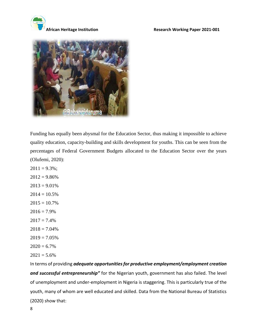



Funding has equally been abysmal for the Education Sector, thus making it impossible to achieve quality education, capacity-building and skills development for youths. This can be seen from the percentages of Federal Government Budgets allocated to the Education Sector over the years (Olufemi, 2020):

 $2011 = 9.3\%$ ;  $2012 = 9.86\%$  $2013 = 9.01\%$  $2014 = 10.5\%$  $2015 = 10.7\%$  $2016 = 7.9\%$  $2017 = 7.4\%$  $2018 = 7.04\%$  $2019 = 7.05\%$  $2020 = 6.7\%$  $2021 = 5.6\%$ 

In terms of providing *adequate opportunities for productive employment/employment creation and successful entrepreneurship"* for the Nigerian youth, government has also failed. The level of unemployment and under-employment in Nigeria is staggering. This is particularly true of the youth, many of whom are well educated and skilled. Data from the National Bureau of Statistics (2020) show that: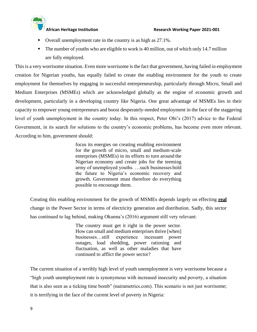- Overall unemployment rate in the country is as high as 27.1%.
- $\blacksquare$  The number of youths who are eligible to work is 40 million, out of which only 14.7 million are fully employed.

This is a very worrisome situation. Even more worrisome is the fact that government, having failed in employment creation for Nigerian youths, has equally failed to create the enabling environment for the youth to create employment for themselves by engaging in successful entrepreneurship, particularly through Micro, Small and Medium Enterprises (MSMEs) which are acknowledged globally as the engine of economic growth and development, particularly in a developing country like Nigeria. One great advantage of MSMEs lies in their capacity to empower young entrepreneurs and boost desperately-needed employment in the face of the staggering level of youth unemployment in the country today. In this respect, Peter Obi's (2017) advice to the Federal Government, in its search for solutions to the country's economic problems, has become even more relevant. According to him, government should:

> focus its energies on creating enabling environment for the growth of micro, small and medium-scale enterprises (MSMEs) in its efforts to turn around the Nigerian economy and create jobs for the teeming army of unemployed youths. …such businesses hold the future to Nigeria's economic recovery and growth. Government must therefore do everything possible to encourage them.

Creating this enabling environment for the growth of MSMEs depends largely on effecting **real** change in the Power Sector in terms of electricity generation and distribution. Sadly, this sector has continued to lag behind, making Okunna's (2016) argument still very relevant:

> The country must get it right in the power sector. How can small and medium enterprises thrive [when] businesses…still experience incessant power outages, load shedding, power rationing and fluctuation, as well as other maladies that have continued to afflict the power sector?

The current situation of a terribly high level of youth unemployment is very worrisome because a "high youth unemployment rate is synonymous with increased insecurity and poverty, a situation that is also seen as a ticking time bomb" (nairametrics.com). This scenario is not just worrisome; it is terrifying in the face of the current level of poverty in Nigeria: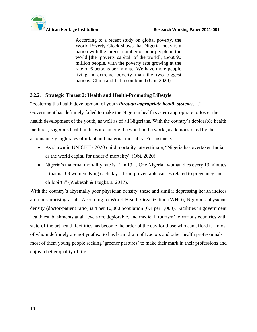

According to a recent study on global poverty, the World Poverty Clock shows that Nigeria today is a nation with the largest number of poor people in the world [the 'poverty capital' of the world], about 90 million people, with the poverty rate growing at the rate of 6 persons per minute. We have more people living in extreme poverty than the two biggest nations: China and India combined (Obi, 2020).

#### **3.2.2. Strategic Thrust 2: Health and Health-Promoting Lifestyle**

"Fostering the health development of youth *through appropriate health systems*…."

Government has definitely failed to make the Nigerian health system appropriate to foster the health development of the youth, as well as of all Nigerians. With the country's deplorable health facilities, Nigeria's health indices are among the worst in the world, as demonstrated by the astonishingly high rates of infant and maternal mortality. For instance:

- As shown in UNICEF's 2020 child mortality rate estimate, "Nigeria has overtaken India as the world capital for under-5 mortality" (Obi, 2020).
- Nigeria's maternal mortality rate is "1 in 13....One Nigerian woman dies every 13 minutes – that is 109 women dying each day – from preventable causes related to pregnancy and childbirth" (Wekesah & Izugbara, 2017).

With the country's abysmally poor physician density, these and similar depressing health indices are not surprising at all. According to World Health Organization (WHO), Nigeria's physician density (doctor-patient ratio) is 4 per 10,000 population (0.4 per 1,000). Facilities in government health establishments at all levels are deplorable, and medical 'tourism' to various countries with state-of-the-art health facilities has become the order of the day for those who can afford it – most of whom definitely are not youths. So has brain drain of Doctors and other health professionals – most of them young people seeking 'greener pastures' to make their mark in their professions and enjoy a better quality of life.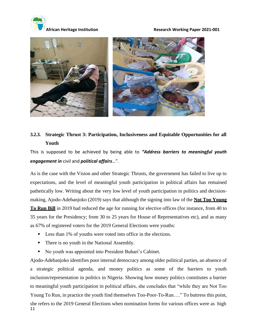

**African Heritage Institution Research Working Paper 2021-001**



## **3.2.3. Strategic Thrust 3: Participation, Inclusiveness and Equitable Opportunities for all Youth**

This is supposed to be achieved by being able to *"Address barriers to meaningful youth engagement in* civil and *political affairs*…".

As is the case with the Vision and other Strategic Thrusts, the government has failed to live up to expectations, and the level of meaningful youth participation in political affairs has remained pathetically low. Writing about the very low level of youth participation in politics and decisionmaking, Ajodo-Adebanjoko (2019) says that although the signing into law of the **Not Too Young To Run Bill** in 2019 had reduced the age for running for elective offices (for instance, from 40 to 35 years for the Presidency; from 30 to 25 years for House of Representatives etc), and as many as 67% of registered voters for the 2019 General Elections were youths:

- Less than 1% of youths were voted into office in the elections.
- There is no youth in the National Assembly.
- No youth was appointed into President Buhari's Cabinet.

11 Ajodo-Adebanjoko identifies poor internal democracy among older political parties, an absence of a strategic political agenda, and money politics as some of the barriers to youth inclusion/representation in politics in Nigeria. Showing how money politics constitutes a barrier to meaningful youth participation in political affairs, she concludes that "while they are Not Too Young To Run, in practice the youth find themselves Too-Poor-To-Run…." To buttress this point, she refers to the 2019 General Elections when nomination forms for various offices were as high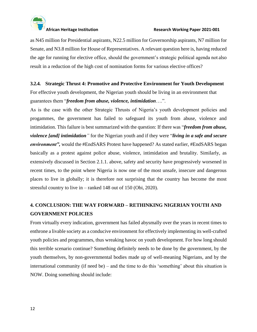

as N45 million for Presidential aspirants, N22.5 million for Governorship aspirants, N7 million for Senate, and N3.8 million for House of Representatives. A relevant question here is, having reduced the age for running for elective office, should the government's strategic political agenda not also result in a reduction of the high cost of nomination forms for various elective offices?

#### **3.2.4. Strategic Thrust 4: Promotive and Protective Environment for Youth Development**

For effective youth development, the Nigerian youth should be living in an environment that guarantees them "*freedom from abuse, violence, intimidation*….".

As is the case with the other Strategic Thrusts of Nigeria's youth development policies and progammes, the government has failed to safeguard its youth from abuse, violence and intimidation. This failure is best summarized with the question: If there was "*freedom from abuse, violence [and] intimidation"* for the Nigerian youth and if they were "*living in a safe and secure environment"*, would the #EndSARS Protest have happened? As stated earlier, #EndSARS began basically as a protest against police abuse, violence, intimidation and brutality. Similarly, as extensively discussed in Section 2.1.1. above, safety and security have progressively worsened in recent times, to the point where Nigeria is now one of the most unsafe, insecure and dangerous places to live in globally; it is therefore not surprising that the country has become the most stressful country to live in – ranked 148 out of 150 (Obi, 2020).

## **4. CONCLUSION: THE WAY FORWARD – RETHINKING NIGERIAN YOUTH AND GOVERNMENT POLICIES**

From virtually every indication, government has failed abysmally over the years in recent times to enthrone a livable society as a conducive environment for effectively implementing its well-crafted youth policies and programmes, thus wreaking havoc on youth development. For how long should this terrible scenario continue? Something definitely needs to be done by the government, by the youth themselves, by non-governmental bodies made up of well-meaning Nigerians, and by the international community (if need be) – and the time to do this 'something' about this situation is NOW. Doing something should include: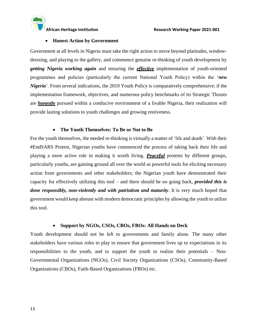

#### • **Honest Action by Government**

Government at all levels in Nigeria must take the right action to move beyond platitudes, windowdressing, and playing to the gallery, and commence genuine re-thinking of youth development by *getting Nigeria working again* and ensuring the *effective* implementation of youth-oriented programmes and policies (particularly the current National Youth Policy) within the '*new Nigeria*'. From several indications, the 2019 Youth Policy is comparatively comprehensive; if the implementation framework, objectives, and numerous policy benchmarks of its Strategic Thrusts are *honestly* pursued within a conducive environment of a livable Nigeria, their realization will provide lasting solutions to youth challenges and growing restiveness.

#### • **The Youth Themselves: To Be or Not to Be**

For the youth themselves, the needed re-thinking is virtually a matter of 'life and death'. With their #EndSARS Protest, Nigerian youths have commenced the process of taking back their life and playing a more active role in making it worth living. *Peaceful* protests by different groups, particularly youths, are gaining ground all over the world as powerful tools for eliciting necessary action from governments and other stakeholders; the Nigerian youth have demonstrated their capacity for effectively utilizing this tool – and there should be no going back, *provided this is done responsibly, non-violently and with patriotism and maturity*. It is very much hoped that government would keep abreast with modern democratic principles by allowing the youth to utilize this tool.

#### • **Support by NGOs, CSOs, CBOs, FBOs: All Hands on Deck**

Youth development should not be left to governments and family alone. The many other stakeholders have various roles to play to ensure that government lives up to expectations in its responsibilities to the youth, and to support the youth to realize their potentials – Non-Governmental Organizations (NGOs), Civil Society Organizations (CSOs), Community-Based Organizations (CBOs), Faith-Based Organizations (FBOs) etc.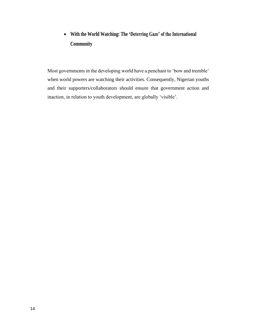## • **With the World Watching: The 'Deterring Gaze' of the International Community**

Most governments in the developing world have a penchant to 'bow and tremble' when world powers are watching their activities. Consequently, Nigerian youths and their supporters/collaborators should ensure that government action and inaction, in relation to youth development, are globally 'visible'.